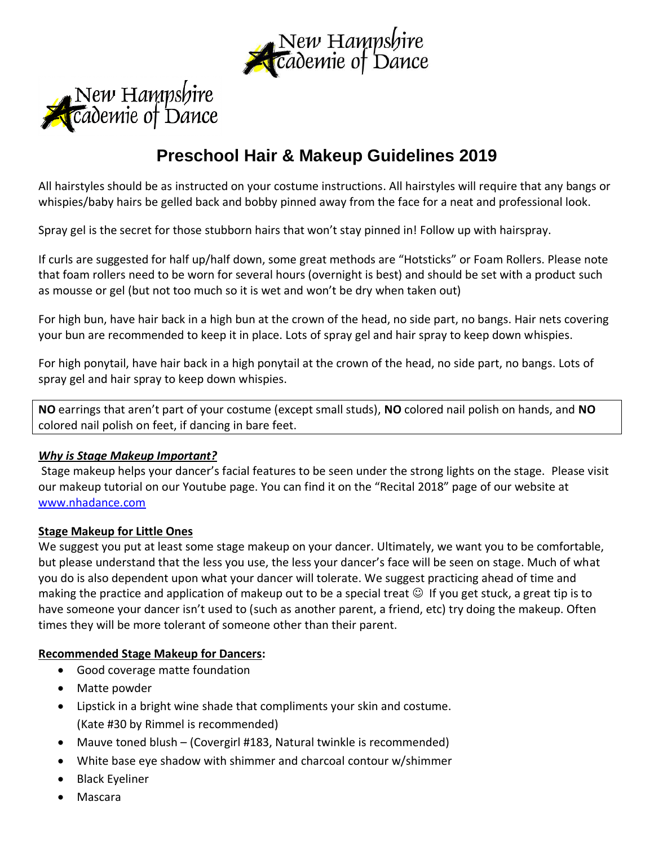



# **Preschool Hair & Makeup Guidelines 2019**

All hairstyles should be as instructed on your costume instructions. All hairstyles will require that any bangs or whispies/baby hairs be gelled back and bobby pinned away from the face for a neat and professional look.

Spray gel is the secret for those stubborn hairs that won't stay pinned in! Follow up with hairspray.

If curls are suggested for half up/half down, some great methods are "Hotsticks" or Foam Rollers. Please note that foam rollers need to be worn for several hours (overnight is best) and should be set with a product such as mousse or gel (but not too much so it is wet and won't be dry when taken out)

For high bun, have hair back in a high bun at the crown of the head, no side part, no bangs. Hair nets covering your bun are recommended to keep it in place. Lots of spray gel and hair spray to keep down whispies.

For high ponytail, have hair back in a high ponytail at the crown of the head, no side part, no bangs. Lots of spray gel and hair spray to keep down whispies.

**NO** earrings that aren't part of your costume (except small studs), **NO** colored nail polish on hands, and **NO**  colored nail polish on feet, if dancing in bare feet.

## *Why is Stage Makeup Important?*

Stage makeup helps your dancer's facial features to be seen under the strong lights on the stage. Please visit our makeup tutorial on our Youtube page. You can find it on the "Recital 2018" page of our website at [www.nhadance.com](http://www.nhadance.com/)

## **Stage Makeup for Little Ones**

We suggest you put at least some stage makeup on your dancer. Ultimately, we want you to be comfortable, but please understand that the less you use, the less your dancer's face will be seen on stage. Much of what you do is also dependent upon what your dancer will tolerate. We suggest practicing ahead of time and making the practice and application of makeup out to be a special treat  $\odot$  If you get stuck, a great tip is to have someone your dancer isn't used to (such as another parent, a friend, etc) try doing the makeup. Often times they will be more tolerant of someone other than their parent.

#### **Recommended Stage Makeup for Dancers:**

- Good coverage matte foundation
- Matte powder
- Lipstick in a bright wine shade that compliments your skin and costume. (Kate #30 by Rimmel is recommended)
- Mauve toned blush (Covergirl #183, Natural twinkle is recommended)
- White base eye shadow with shimmer and charcoal contour w/shimmer
- Black Eyeliner
- Mascara